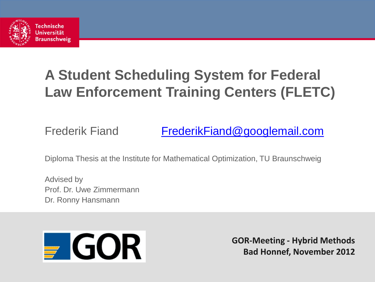

#### **A Student Scheduling System for Federal Law Enforcement Training Centers (FLETC)**

Frederik Fiand [FrederikFiand@googlemail.com](mailto:FrederikFiand@googlemail.com)

Diploma Thesis at the Institute for Mathematical Optimization, TU Braunschweig

Advised by Prof. Dr. Uwe Zimmermann Dr. Ronny Hansmann



**GOR-Meeting - Hybrid Methods Bad Honnef, November 2012**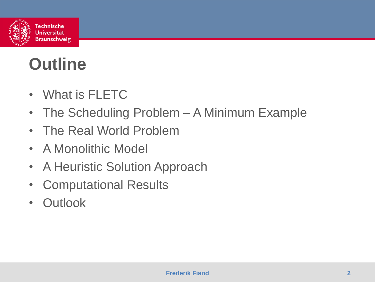

### **Outline**

- What is FLETC
- The Scheduling Problem A Minimum Example
- The Real World Problem
- A Monolithic Model
- A Heuristic Solution Approach
- Computational Results
- Outlook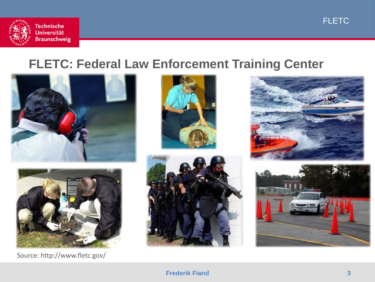**FLETC** 



#### **FLETC: Federal Law Enforcement Training Center**







Source: http://www.fletc.gov/







#### **Frederik Fiand 3**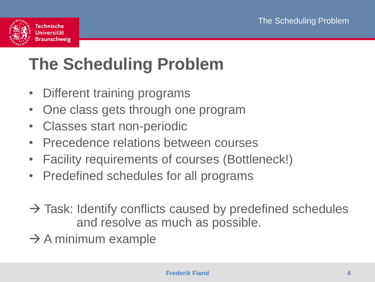

# **The Scheduling Problem**

- Different training programs
- One class gets through one program
- Classes start non-periodic
- Precedence relations between courses
- Facility requirements of courses (Bottleneck!)
- Predefined schedules for all programs
- $\rightarrow$  Task: Identify conflicts caused by predefined schedules and resolve as much as possible.
- $\rightarrow$  A minimum example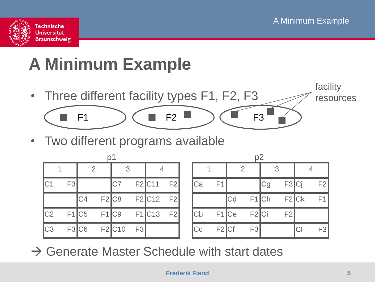

# **A Minimum Example**

- Three different facility types F1, F2, F3 F1  $\bigcirc$  F2  $\bigcirc$  F2 F3 facility resources
- Two different programs available

| C1               | F3 |                 |              | IC7                      |    | $F2 C11$ $F2 $ |    | $\mathsf{I}$ Ca | F1    |             |                                    |  |
|------------------|----|-----------------|--------------|--------------------------|----|----------------|----|-----------------|-------|-------------|------------------------------------|--|
|                  |    | $\overline{C4}$ |              | $F2 C8$ $F2 C12$ $F2 $   |    |                |    |                 |       | $ {\rm Cd}$ | $F1$ <sup><math>\vert</math></sup> |  |
| C <sub>2</sub>   |    |                 |              | $F1 C5$ $F1 C9$ $F1 C13$ |    |                | F2 | Cb              |       | $F1$ Ce     | F2C                                |  |
| $\overline{C}$ 3 |    |                 | F3 C6 F2 C10 |                          | F3 |                |    | Cc              | F2 Cf |             | F3                                 |  |

| p2          |       |           |                |         |                |                |                |  |  |
|-------------|-------|-----------|----------------|---------|----------------|----------------|----------------|--|--|
|             |       |           | $\overline{2}$ |         | 3              |                |                |  |  |
| <b>I</b> Ca | F1    |           |                | Cg      | F3 Cj          |                | F2             |  |  |
|             |       | <b>Cd</b> |                | $F1$ Ch | $F2$ Ck        |                | F1             |  |  |
| Cb          |       | $F1$ Ce   | F2 Ci          |         | F <sub>2</sub> |                |                |  |  |
| Cc          | F2 Cf |           | F <sub>3</sub> |         |                | C <sub>1</sub> | F <sub>3</sub> |  |  |

 $\rightarrow$  Generate Master Schedule with start dates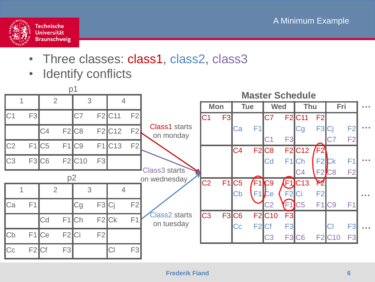

- Three classes: class1, class2, class3
- Identify conflicts

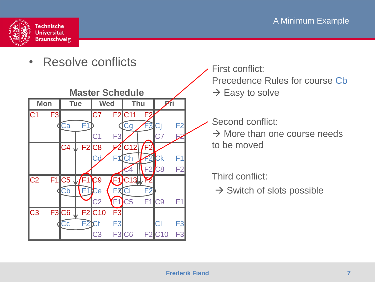

• Resolve conflicts



- Precedence Rules for course Cb First conflict:  $\rightarrow$  Easy to solve
- Second conflict:
- $\rightarrow$  More than one course needs to be moved

Third conflict:

 $\rightarrow$  Switch of slots possible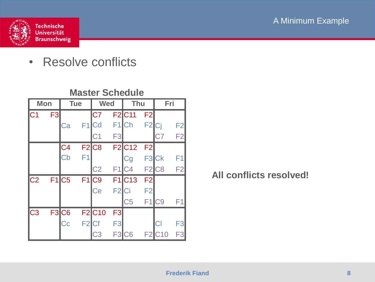

#### • Resolve conflicts

**Master Schedule**

| <b>Mon</b> |    | <b>Tue</b>                     |                   | <b>Wed</b>                     |                   | Thu                       |                   | Fri                      |                |
|------------|----|--------------------------------|-------------------|--------------------------------|-------------------|---------------------------|-------------------|--------------------------|----------------|
| IC1        | F3 |                                |                   | IC7                            |                   | <b>F2</b> C11             | F2                |                          |                |
|            |    | Ca                             |                   | F1 Cd                          |                   | F <sub>1</sub> Ch         | F <sub>2</sub> Ci |                          | F <sub>2</sub> |
|            |    |                                |                   | C <sub>1</sub>                 | F <sub>3</sub>    |                           |                   | C7                       | F <sub>2</sub> |
|            |    | C <sub>4</sub>                 |                   | <b>F2</b> C8                   |                   | <b>F2</b> C <sub>12</sub> | F2                |                          |                |
|            |    | Cb                             | F <sub>1</sub>    |                                |                   | Cg                        |                   | F <sub>3</sub> Ck        | F <sub>1</sub> |
|            |    |                                |                   | C <sub>2</sub>                 |                   | F1 C4                     |                   | <b>F2</b> C <sub>8</sub> | F <sub>2</sub> |
| IC2        |    | <b>F1</b> C5                   |                   | F <sub>1</sub> I <sub>C9</sub> |                   | <b>F1</b> C <sub>13</sub> | F2                |                          |                |
|            |    |                                |                   | Ce                             | F <sub>2</sub> Ci |                           | F <sub>2</sub>    |                          |                |
|            |    |                                |                   |                                |                   | C <sub>5</sub>            |                   | <b>F1</b> C9             | F <sub>1</sub> |
| IC3        |    | F <sub>3</sub> I <sub>C6</sub> |                   | <b>F2</b> C10                  | F <sub>3</sub>    |                           |                   |                          |                |
|            |    | Cc                             | F <sub>2</sub> Cf |                                | F3                |                           |                   | C                        | F <sub>3</sub> |
|            |    |                                |                   | $\overline{\text{C3}}$         | F <sub>3</sub>    | CG                        |                   | <b>F2</b> C10            | F <sub>3</sub> |

**All conflicts resolved!**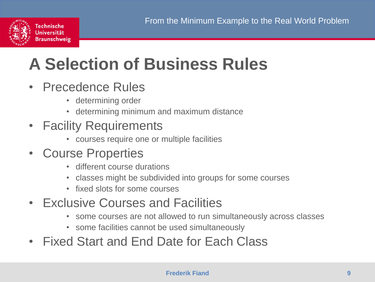



### **A Selection of Business Rules**

- Precedence Rules
	- determining order
	- determining minimum and maximum distance
- **Facility Requirements** 
	- courses require one or multiple facilities
- Course Properties
	- different course durations
	- classes might be subdivided into groups for some courses
	- fixed slots for some courses
- Exclusive Courses and Facilities
	- some courses are not allowed to run simultaneously across classes
	- some facilities cannot be used simultaneously
- Fixed Start and End Date for Each Class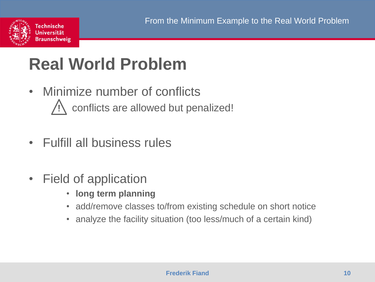

#### **Real World Problem**

- Minimize number of conflicts conflicts are allowed but penalized! !
- Fulfill all business rules
- Field of application
	- **long term planning**
	- add/remove classes to/from existing schedule on short notice
	- analyze the facility situation (too less/much of a certain kind)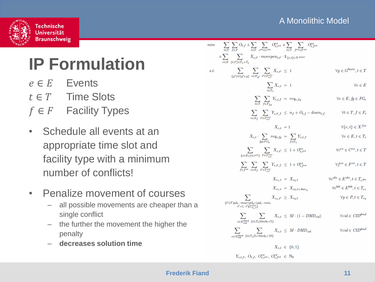#### A Monolithic Model



# **IP Formulation**

- $e \in E$  Events
- $t \in T$  Time Slots
- $f \in F$  Facility Types
- Schedule all events at an appropriate time slot and facility type with a minimum number of conflicts!
- Penalize movement of courses
	- all possible movements are cheaper than a single conflict
	- the further the movement the higher the penalty
	- **decreases solution time**

| $_{min}$ | $\sum_{t \in T} \sum_{\ell \in E} O_{t,f} + \sum_{t \in T} \sum_{\sigma \in \mathbf{Z} \subset C \subseteq \mathbf{Z}} O_{t,c}^{ex} + \sum_{t \in T} \sum_{\ell \in \mathbf{Z} \subset E \subseteq \mathbf{Z}} O_{t,fex}^{ex}$                                                |                                                  |
|----------|-------------------------------------------------------------------------------------------------------------------------------------------------------------------------------------------------------------------------------------------------------------------------------|--------------------------------------------------|
|          |                                                                                                                                                                                                                                                                               |                                                  |
|          | $+ \sum_{e \in E} \sum_{\{t,t'\} \in T_e \times T_e} X_{e,t'} \cdot movepen_{t,t'} \cdot 1\!\!1_{\{e,t\} \in X^{start}}$                                                                                                                                                      |                                                  |
| s.t.     | $\sum_{\{g' \in G   g' \succ g\}} \sum_{e \in E_{g'}} \sum_{t' \in T_{e,t}^{occ}} X_{e,t'} \leq 1$                                                                                                                                                                            | $\forall g \in G^{basic}, t \in T$               |
|          | $\sum_{e \in T} X_{e,t} = 1$                                                                                                                                                                                                                                                  | $\forall e \in E$                                |
|          | $\sum_{t \in T} \sum_{f \in F_t} Y_{e,t,f} = \mathit{req}_{e,fg}$                                                                                                                                                                                                             | $\forall e \in E, fg \in FG_e$                   |
|          | $\sum_{e \in E_f} \sum_{t' \in T_{e}^{occ}} Y_{e,t',f} \leq n_f + O_{t,f} - down_{t,f}$                                                                                                                                                                                       | $\forall t \in T, f \in F_t$                     |
|          | $X_{e,t} = 1$                                                                                                                                                                                                                                                                 | $\forall \{e,t\} \in X^{fix}$                    |
|          | $X_{e,t} \cdot \sum_{f \in FGL} req_{e,fg} = \sum_{f \in F} Y_{e,t,f}$                                                                                                                                                                                                        | $\forall e \in E, t \in T_e$                     |
|          | $\sum_{\{e \in E_c   c \in c^{ex}\}} \sum_{t' \in T_{c,e}^{occ}} X_{e,t'} \leq 1 + O_{t,c^{ex}}^{ex}$                                                                                                                                                                         | $\forall c^{ex} \in C^{ex}, t \in T$             |
|          | $\sum_{f \in f^{ex}} \sum_{e \in E, f' \in T^{occ}} \sum_{f' \in T^{occ}} Y_{e,f',f} \leq 1 + O_{t, f^{ex}}^{ex}$                                                                                                                                                             | $\forall f^{ex} \in F^{ex}, t \in T$             |
|          | $X_{e_1,t} = X_{e_2,t}$                                                                                                                                                                                                                                                       | $\forall e^{sbs} \in E^{sbs}, t \in T_{s^{sbs}}$ |
|          | $X_{e_1,t} = X_{e_2,t+dur_e}$                                                                                                                                                                                                                                                 | $\forall e^{btb} \in E^{btb}, t \in T_{e}$       |
|          | $X_{e_1,t'} \geq X_{e_2,t}$<br>$\{t'\hspace{-0.1cm}\in\hspace{-0.1cm} T pd_t\hspace{-0.1cm}-\hspace{-0.1cm}max\hspace{-0.1cm}\leq\hspace{-0.1cm} pd_{t'}\hspace{-0.1cm}\leq\hspace{-0.1cm} pd_t\hspace{-0.1cm}-\hspace{-0.1cm}min$<br>$t' < t$ , $t' \notin T_{e_1, t}^{occ}$ | $\forall p \in P, t \in T_{eg}$                  |
|          | $\sum_{\substack{\text{ }}\sum \text{ }}X_{e,t}\leq M\cdot (1-DMD_{cid})$<br>$e{\in}E_{cid}^{dmd}$ $\{t{\in}T_{e} \overline{block_{t}}{<}5$                                                                                                                                   | $\forall cid \in \mathit{CID}^{dmd}$             |
|          | $\sum_{e \in E_{\textit{cid}}^{dmd}}\;\sum_{\{t \in T_e   5 < block_t < 10\}} X_{e,t} \; \leq \; M \cdot DMD_{cid}$                                                                                                                                                           | $\forall cid \in \mathit{CID}^{dmd}$             |
|          | $X_{e,t} \in \{0,1\}$                                                                                                                                                                                                                                                         |                                                  |

 $Y_{e,t,f}, O_{t,f}, O_{t,c}^{ex}, O_{t,f}^{ex} \in \mathbb{N}_0$ 

#### **Frederik Fiand 11**

 $min$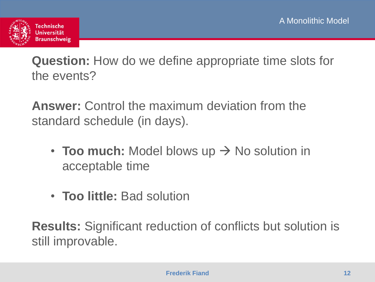

**Question:** How do we define appropriate time slots for the events?

**Answer:** Control the maximum deviation from the standard schedule (in days).

- **Too much:** Model blows up  $\rightarrow$  No solution in acceptable time
- **Too little:** Bad solution

**Results:** Significant reduction of conflicts but solution is still improvable.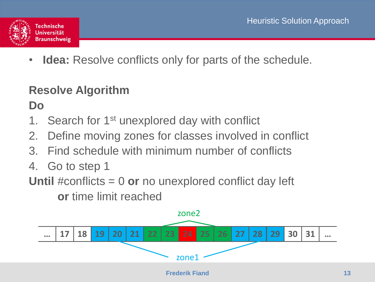

• **Idea:** Resolve conflicts only for parts of the schedule.

#### **Resolve Algorithm**

**Do**

- 1. Search for 1<sup>st</sup> unexplored day with conflict
- 2. Define moving zones for classes involved in conflict
- 3. Find schedule with minimum number of conflicts
- 4. Go to step 1
- **Until** #conflicts = 0 **or** no unexplored conflict day left

 **or** time limit reached

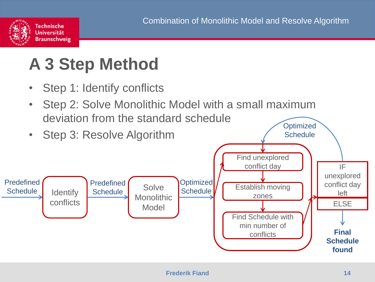



### **A 3 Step Method**

- Step 1: Identify conflicts
- Step 2: Solve Monolithic Model with a small maximum deviation from the standard schedule

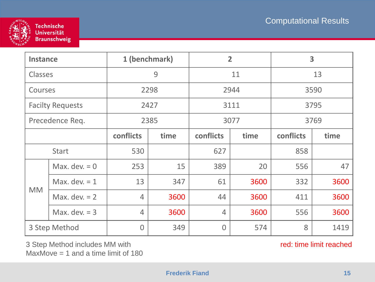

| <b>Technische</b>   |  |
|---------------------|--|
| <u>Jniversität</u>  |  |
| <b>Braunschweig</b> |  |
|                     |  |

| <b>Instance</b> |                         | 1 (benchmark)         |      |                | $\overline{2}$ | 3         |      |  |
|-----------------|-------------------------|-----------------------|------|----------------|----------------|-----------|------|--|
| <b>Classes</b>  |                         |                       | 9    |                | 11             | 13        |      |  |
| Courses         |                         | 2298                  |      |                | 2944           | 3590      |      |  |
|                 | <b>Facilty Requests</b> |                       | 2427 |                | 3111           | 3795      |      |  |
|                 | Precedence Req.         | 2385                  |      |                | 3077           | 3769      |      |  |
|                 |                         | conflicts             | time | conflicts      | time           | conflicts | time |  |
|                 | <b>Start</b>            | 530                   |      | 627            |                | 858       |      |  |
|                 | Max. dev. $= 0$         | 253                   | 15   | 389            | 20             | 556       | 47   |  |
|                 | Max. dev. $= 1$         | 13                    | 347  | 61             | 3600           | 332       | 3600 |  |
| <b>MM</b>       | Max. dev. $= 2$         | $\overline{4}$        | 3600 | 44             | 3600           | 411       | 3600 |  |
|                 | Max. dev. $= 3$         | $\overline{4}$        | 3600 | $\overline{4}$ | 3600           | 556       | 3600 |  |
| 3 Step Method   |                         | $\overline{0}$<br>349 |      | $\overline{0}$ | 574            | 8         | 1419 |  |

3 Step Method includes MM with  $MaxMove = 1$  and a time limit of 180 red: time limit reached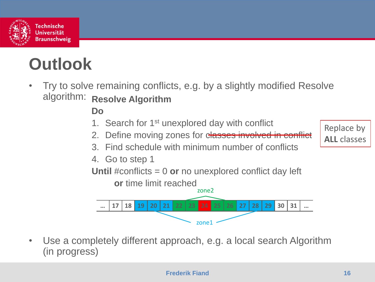

## **Outlook**

• Try to solve remaining conflicts, e.g. by a slightly modified Resolve algorithm: Resolve Algorithm

**Do**

- 1. Search for 1<sup>st</sup> unexplored day with conflict
- 2. Define moving zones for classes involved in conflict

Replace by **ALL** classes

- 3. Find schedule with minimum number of conflicts
- 4. Go to step 1

**Until** #conflicts = 0 **or** no unexplored conflict day left



Use a completely different approach, e.g. a local search Algorithm